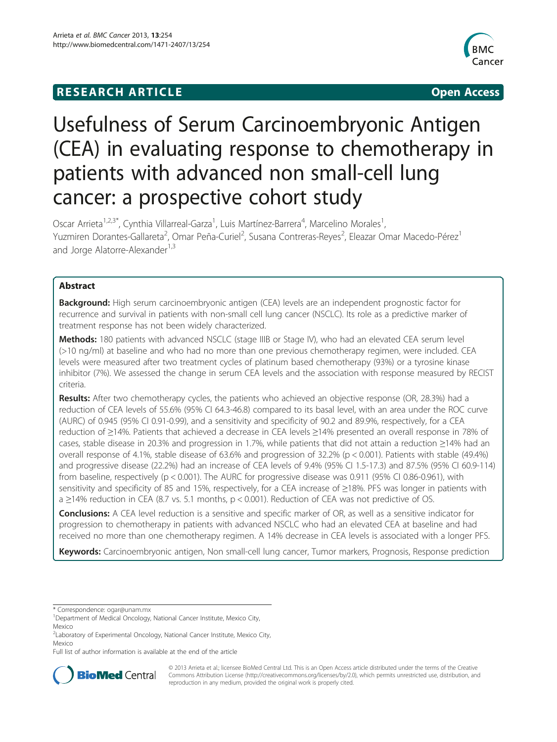# **RESEARCH ARTICLE CONSUMING A RESEARCH ARTICLE**



# Usefulness of Serum Carcinoembryonic Antigen (CEA) in evaluating response to chemotherapy in patients with advanced non small-cell lung cancer: a prospective cohort study

Oscar Arrieta<sup>1,2,3\*</sup>, Cynthia Villarreal-Garza<sup>1</sup>, Luis Martínez-Barrera<sup>4</sup>, Marcelino Morales<sup>1</sup> , Yuzmiren Dorantes-Gallareta<sup>2</sup>, Omar Peña-Curiel<sup>2</sup>, Susana Contreras-Reyes<sup>2</sup>, Eleazar Omar Macedo-Pérez<sup>1</sup> and Jorge Alatorre-Alexander<sup>1,3</sup>

# Abstract

**Background:** High serum carcinoembryonic antigen (CEA) levels are an independent prognostic factor for recurrence and survival in patients with non-small cell lung cancer (NSCLC). Its role as a predictive marker of treatment response has not been widely characterized.

Methods: 180 patients with advanced NSCLC (stage IIIB or Stage IV), who had an elevated CEA serum level (>10 ng/ml) at baseline and who had no more than one previous chemotherapy regimen, were included. CEA levels were measured after two treatment cycles of platinum based chemotherapy (93%) or a tyrosine kinase inhibitor (7%). We assessed the change in serum CEA levels and the association with response measured by RECIST criteria.

Results: After two chemotherapy cycles, the patients who achieved an objective response (OR, 28.3%) had a reduction of CEA levels of 55.6% (95% CI 64.3-46.8) compared to its basal level, with an area under the ROC curve (AURC) of 0.945 (95% CI 0.91-0.99), and a sensitivity and specificity of 90.2 and 89.9%, respectively, for a CEA reduction of ≥14%. Patients that achieved a decrease in CEA levels ≥14% presented an overall response in 78% of cases, stable disease in 20.3% and progression in 1.7%, while patients that did not attain a reduction ≥14% had an overall response of 4.1%, stable disease of 63.6% and progression of 32.2% (p < 0.001). Patients with stable (49.4%) and progressive disease (22.2%) had an increase of CEA levels of 9.4% (95% CI 1.5-17.3) and 87.5% (95% CI 60.9-114) from baseline, respectively (p < 0.001). The AURC for progressive disease was 0.911 (95% CI 0.86-0.961), with sensitivity and specificity of 85 and 15%, respectively, for a CEA increase of ≥18%. PFS was longer in patients with a ≥14% reduction in CEA (8.7 vs. 5.1 months, p < 0.001). Reduction of CEA was not predictive of OS.

**Conclusions:** A CEA level reduction is a sensitive and specific marker of OR, as well as a sensitive indicator for progression to chemotherapy in patients with advanced NSCLC who had an elevated CEA at baseline and had received no more than one chemotherapy regimen. A 14% decrease in CEA levels is associated with a longer PFS.

Keywords: Carcinoembryonic antigen, Non small-cell lung cancer, Tumor markers, Prognosis, Response prediction

\* Correspondence: [ogar@unam.mx](mailto:ogar@unam.mx) <sup>1</sup>

Full list of author information is available at the end of the article



© 2013 Arrieta et al.; licensee BioMed Central Ltd. This is an Open Access article distributed under the terms of the Creative Commons Attribution License [\(http://creativecommons.org/licenses/by/2.0\)](http://creativecommons.org/licenses/by/2.0), which permits unrestricted use, distribution, and reproduction in any medium, provided the original work is properly cited.

<sup>&</sup>lt;sup>1</sup>Department of Medical Oncology, National Cancer Institute, Mexico City, Mexico

<sup>&</sup>lt;sup>2</sup>Laboratory of Experimental Oncology, National Cancer Institute, Mexico City, Mexico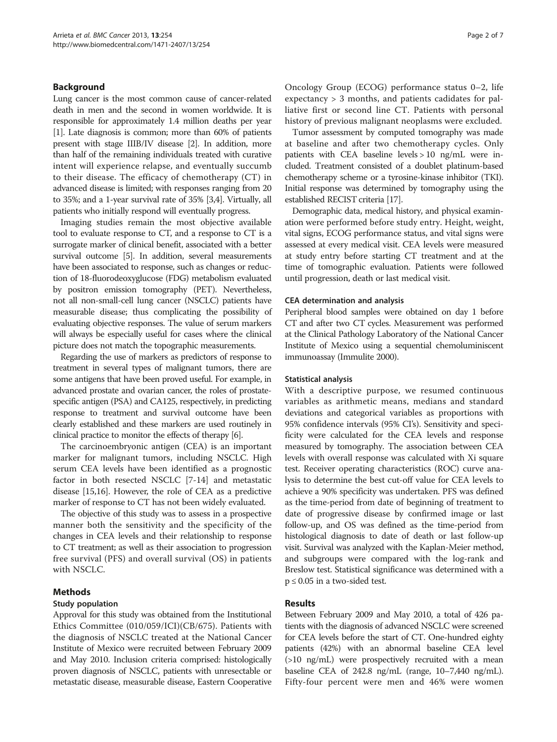# Background

Lung cancer is the most common cause of cancer-related death in men and the second in women worldwide. It is responsible for approximately 1.4 million deaths per year [[1](#page-5-0)]. Late diagnosis is common; more than 60% of patients present with stage IIIB/IV disease [[2](#page-5-0)]. In addition, more than half of the remaining individuals treated with curative intent will experience relapse, and eventually succumb to their disease. The efficacy of chemotherapy (CT) in advanced disease is limited; with responses ranging from 20 to 35%; and a 1-year survival rate of 35% [[3,4\]](#page-5-0). Virtually, all patients who initially respond will eventually progress.

Imaging studies remain the most objective available tool to evaluate response to CT, and a response to CT is a surrogate marker of clinical benefit, associated with a better survival outcome [\[5](#page-6-0)]. In addition, several measurements have been associated to response, such as changes or reduction of 18-fluorodeoxyglucose (FDG) metabolism evaluated by positron emission tomography (PET). Nevertheless, not all non-small-cell lung cancer (NSCLC) patients have measurable disease; thus complicating the possibility of evaluating objective responses. The value of serum markers will always be especially useful for cases where the clinical picture does not match the topographic measurements.

Regarding the use of markers as predictors of response to treatment in several types of malignant tumors, there are some antigens that have been proved useful. For example, in advanced prostate and ovarian cancer, the roles of prostatespecific antigen (PSA) and CA125, respectively, in predicting response to treatment and survival outcome have been clearly established and these markers are used routinely in clinical practice to monitor the effects of therapy [\[6\]](#page-6-0).

The carcinoembryonic antigen (CEA) is an important marker for malignant tumors, including NSCLC. High serum CEA levels have been identified as a prognostic factor in both resected NSCLC [[7-14\]](#page-6-0) and metastatic disease [\[15,16\]](#page-6-0). However, the role of CEA as a predictive marker of response to CT has not been widely evaluated.

The objective of this study was to assess in a prospective manner both the sensitivity and the specificity of the changes in CEA levels and their relationship to response to CT treatment; as well as their association to progression free survival (PFS) and overall survival (OS) in patients with NSCLC.

# Methods

# Study population

Approval for this study was obtained from the Institutional Ethics Committee (010/059/ICI)(CB/675). Patients with the diagnosis of NSCLC treated at the National Cancer Institute of Mexico were recruited between February 2009 and May 2010. Inclusion criteria comprised: histologically proven diagnosis of NSCLC, patients with unresectable or metastatic disease, measurable disease, Eastern Cooperative

Oncology Group (ECOG) performance status 0–2, life expectancy > 3 months, and patients cadidates for palliative first or second line CT. Patients with personal history of previous malignant neoplasms were excluded.

Tumor assessment by computed tomography was made at baseline and after two chemotherapy cycles. Only patients with CEA baseline levels > 10 ng/mL were included. Treatment consisted of a doublet platinum-based chemotherapy scheme or a tyrosine-kinase inhibitor (TKI). Initial response was determined by tomography using the established RECIST criteria [[17\]](#page-6-0).

Demographic data, medical history, and physical examination were performed before study entry. Height, weight, vital signs, ECOG performance status, and vital signs were assessed at every medical visit. CEA levels were measured at study entry before starting CT treatment and at the time of tomographic evaluation. Patients were followed until progression, death or last medical visit.

#### CEA determination and analysis

Peripheral blood samples were obtained on day 1 before CT and after two CT cycles. Measurement was performed at the Clinical Pathology Laboratory of the National Cancer Institute of Mexico using a sequential chemoluminiscent immunoassay (Immulite 2000).

#### Statistical analysis

With a descriptive purpose, we resumed continuous variables as arithmetic means, medians and standard deviations and categorical variables as proportions with 95% confidence intervals (95% CI's). Sensitivity and specificity were calculated for the CEA levels and response measured by tomography. The association between CEA levels with overall response was calculated with Xi square test. Receiver operating characteristics (ROC) curve analysis to determine the best cut-off value for CEA levels to achieve a 90% specificity was undertaken. PFS was defined as the time-period from date of beginning of treatment to date of progressive disease by confirmed image or last follow-up, and OS was defined as the time-period from histological diagnosis to date of death or last follow-up visit. Survival was analyzed with the Kaplan-Meier method, and subgroups were compared with the log-rank and Breslow test. Statistical significance was determined with a  $p \leq 0.05$  in a two-sided test.

# Results

Between February 2009 and May 2010, a total of 426 patients with the diagnosis of advanced NSCLC were screened for CEA levels before the start of CT. One-hundred eighty patients (42%) with an abnormal baseline CEA level (>10 ng/mL) were prospectively recruited with a mean baseline CEA of 242.8 ng/mL (range, 10–7,440 ng/mL). Fifty-four percent were men and 46% were women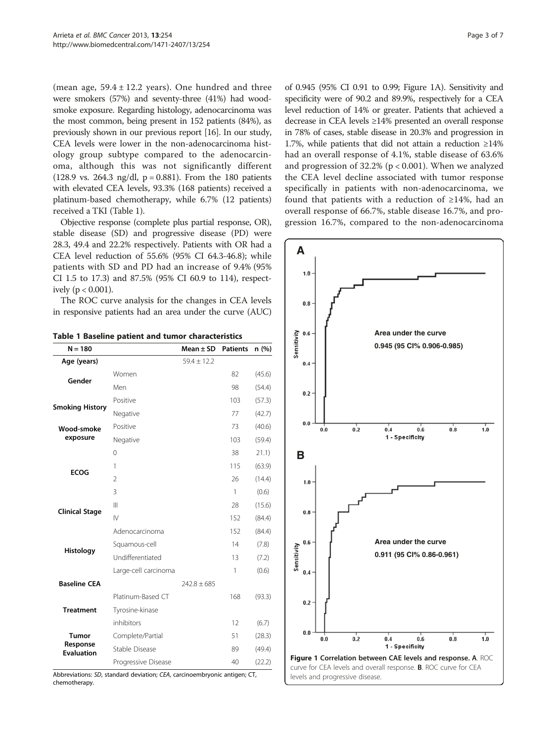<span id="page-2-0"></span>(mean age,  $59.4 \pm 12.2$  years). One hundred and three were smokers (57%) and seventy-three (41%) had woodsmoke exposure. Regarding histology, adenocarcinoma was the most common, being present in 152 patients (84%), as previously shown in our previous report [[16](#page-6-0)]. In our study, CEA levels were lower in the non-adenocarcinoma histology group subtype compared to the adenocarcinoma, although this was not significantly different (128.9 vs. 264.3 ng/dl,  $p = 0.881$ ). From the 180 patients with elevated CEA levels, 93.3% (168 patients) received a platinum-based chemotherapy, while 6.7% (12 patients) received a TKI (Table 1).

Objective response (complete plus partial response, OR), stable disease (SD) and progressive disease (PD) were 28.3, 49.4 and 22.2% respectively. Patients with OR had a CEA level reduction of 55.6% (95% CI 64.3-46.8); while patients with SD and PD had an increase of 9.4% (95% CI 1.5 to 17.3) and 87.5% (95% CI 60.9 to 114), respectively ( $p < 0.001$ ).

The ROC curve analysis for the changes in CEA levels in responsive patients had an area under the curve (AUC)

|  |  |  |  |  |  | Table 1 Baseline patient and tumor characteristics |
|--|--|--|--|--|--|----------------------------------------------------|
|--|--|--|--|--|--|----------------------------------------------------|

| $N = 180$                     |                      | Mean $\pm$ SD   | <b>Patients</b> | n (%)  |
|-------------------------------|----------------------|-----------------|-----------------|--------|
| Age (years)                   |                      | $59.4 \pm 12.2$ |                 |        |
| Gender                        | Women                |                 | 82              | (45.6) |
|                               | Men                  |                 | 98              | (54.4) |
| <b>Smoking History</b>        | Positive             |                 | 103             | (57.3) |
|                               | Negative             |                 | 77              | (42.7) |
| Wood-smoke                    | Positive             |                 | 73              | (40.6) |
| exposure                      | Negative             |                 | 103             | (59.4) |
|                               | $\Omega$             |                 | 38              | 21.1)  |
| <b>ECOG</b>                   | 1                    |                 | 115             | (63.9) |
|                               | $\overline{2}$       |                 | 26              | (14.4) |
|                               | 3                    |                 | 1               | (0.6)  |
| <b>Clinical Stage</b>         | Ш                    |                 | 28              | (15.6) |
|                               | $\mathsf{N}$         |                 | 152             | (84.4) |
|                               | Adenocarcinoma       |                 | 152             | (84.4) |
| Histology                     | Squamous-cell        |                 | 14              | (7.8)  |
|                               | Undifferentiated     |                 | 13              | (7.2)  |
|                               | Large-cell carcinoma |                 | 1               | (0.6)  |
| <b>Baseline CEA</b>           |                      | $242.8 + 685$   |                 |        |
|                               | Platinum-Based CT    |                 | 168             | (93.3) |
| <b>Treatment</b>              | Tyrosine-kinase      |                 |                 |        |
|                               | inhibitors           |                 | 12              | (6.7)  |
| Tumor                         | Complete/Partial     |                 | 51              | (28.3) |
| Response<br><b>Evaluation</b> | Stable Disease       |                 | 89              | (49.4) |
|                               | Progressive Disease  |                 | 40              | (22.2) |

Abbreviations: SD, standard deviation; CEA, carcinoembryonic antigen; CT, chemotherapy.

of 0.945 (95% CI 0.91 to 0.99; Figure 1A). Sensitivity and specificity were of 90.2 and 89.9%, respectively for a CEA level reduction of 14% or greater. Patients that achieved a decrease in CEA levels ≥14% presented an overall response in 78% of cases, stable disease in 20.3% and progression in 1.7%, while patients that did not attain a reduction ≥14% had an overall response of 4.1%, stable disease of 63.6% and progression of  $32.2\%$  (p < 0.001). When we analyzed the CEA level decline associated with tumor response specifically in patients with non-adenocarcinoma, we found that patients with a reduction of  $\geq$ 14%, had an overall response of 66.7%, stable disease 16.7%, and progression 16.7%, compared to the non-adenocarcinoma

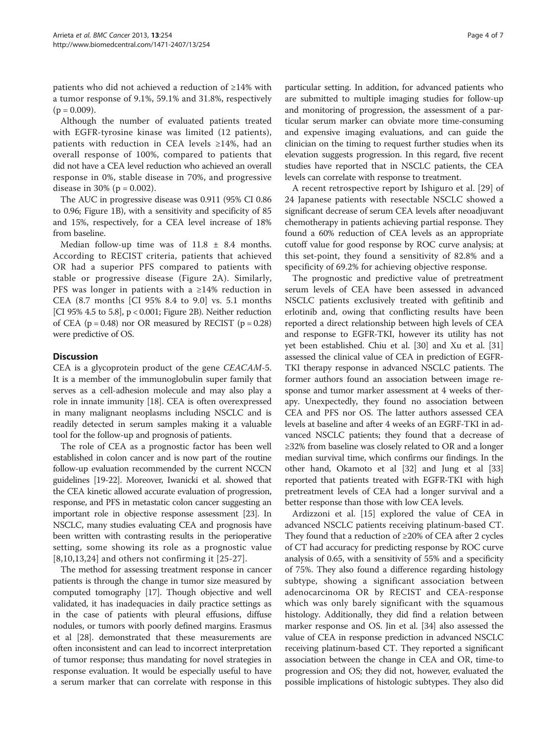patients who did not achieved a reduction of ≥14% with a tumor response of 9.1%, 59.1% and 31.8%, respectively  $(p = 0.009)$ .

Although the number of evaluated patients treated with EGFR-tyrosine kinase was limited (12 patients), patients with reduction in CEA levels ≥14%, had an overall response of 100%, compared to patients that did not have a CEA level reduction who achieved an overall response in 0%, stable disease in 70%, and progressive disease in 30% ( $p = 0.002$ ).

The AUC in progressive disease was 0.911 (95% CI 0.86 to 0.96; Figure [1](#page-2-0)B), with a sensitivity and specificity of 85 and 15%, respectively, for a CEA level increase of 18% from baseline.

Median follow-up time was of  $11.8 \pm 8.4$  months. According to RECIST criteria, patients that achieved OR had a superior PFS compared to patients with stable or progressive disease (Figure [2](#page-4-0)A). Similarly, PFS was longer in patients with a ≥14% reduction in CEA (8.7 months [CI 95% 8.4 to 9.0] vs. 5.1 months [CI 95% 4.5 to 5.8], p < 0.001; Figure [2B](#page-4-0)). Neither reduction of CEA ( $p = 0.48$ ) nor OR measured by RECIST ( $p = 0.28$ ) were predictive of OS.

# **Discussion**

CEA is a glycoprotein product of the gene CEACAM-5. It is a member of the immunoglobulin super family that serves as a cell-adhesion molecule and may also play a role in innate immunity [\[18\]](#page-6-0). CEA is often overexpressed in many malignant neoplasms including NSCLC and is readily detected in serum samples making it a valuable tool for the follow-up and prognosis of patients.

The role of CEA as a prognostic factor has been well established in colon cancer and is now part of the routine follow-up evaluation recommended by the current NCCN guidelines [\[19-22](#page-6-0)]. Moreover, Iwanicki et al. showed that the CEA kinetic allowed accurate evaluation of progression, response, and PFS in metastatic colon cancer suggesting an important role in objective response assessment [[23](#page-6-0)]. In NSCLC, many studies evaluating CEA and prognosis have been written with contrasting results in the perioperative setting, some showing its role as a prognostic value [[8,10,13](#page-6-0),[24\]](#page-6-0) and others not confirming it [[25](#page-6-0)-[27\]](#page-6-0).

The method for assessing treatment response in cancer patients is through the change in tumor size measured by computed tomography [\[17\]](#page-6-0). Though objective and well validated, it has inadequacies in daily practice settings as in the case of patients with pleural effusions, diffuse nodules, or tumors with poorly defined margins. Erasmus et al [\[28\]](#page-6-0). demonstrated that these measurements are often inconsistent and can lead to incorrect interpretation of tumor response; thus mandating for novel strategies in response evaluation. It would be especially useful to have a serum marker that can correlate with response in this

particular setting. In addition, for advanced patients who are submitted to multiple imaging studies for follow-up and monitoring of progression, the assessment of a particular serum marker can obviate more time-consuming and expensive imaging evaluations, and can guide the clinician on the timing to request further studies when its elevation suggests progression. In this regard, five recent studies have reported that in NSCLC patients, the CEA levels can correlate with response to treatment.

A recent retrospective report by Ishiguro et al. [\[29](#page-6-0)] of 24 Japanese patients with resectable NSCLC showed a significant decrease of serum CEA levels after neoadjuvant chemotherapy in patients achieving partial response. They found a 60% reduction of CEA levels as an appropriate cutoff value for good response by ROC curve analysis; at this set-point, they found a sensitivity of 82.8% and a specificity of 69.2% for achieving objective response.

The prognostic and predictive value of pretreatment serum levels of CEA have been assessed in advanced NSCLC patients exclusively treated with gefitinib and erlotinib and, owing that conflicting results have been reported a direct relationship between high levels of CEA and response to EGFR-TKI, however its utility has not yet been established. Chiu et al. [[30](#page-6-0)] and Xu et al. [[31](#page-6-0)] assessed the clinical value of CEA in prediction of EGFR-TKI therapy response in advanced NSCLC patients. The former authors found an association between image response and tumor marker assessment at 4 weeks of therapy. Unexpectedly, they found no association between CEA and PFS nor OS. The latter authors assessed CEA levels at baseline and after 4 weeks of an EGRF-TKI in advanced NSCLC patients; they found that a decrease of ≥32% from baseline was closely related to OR and a longer median survival time, which confirms our findings. In the other hand, Okamoto et al [\[32\]](#page-6-0) and Jung et al [[33](#page-6-0)] reported that patients treated with EGFR-TKI with high pretreatment levels of CEA had a longer survival and a better response than those with low CEA levels.

Ardizzoni et al. [[15\]](#page-6-0) explored the value of CEA in advanced NSCLC patients receiving platinum-based CT. They found that a reduction of ≥20% of CEA after 2 cycles of CT had accuracy for predicting response by ROC curve analysis of 0.65, with a sensitivity of 55% and a specificity of 75%. They also found a difference regarding histology subtype, showing a significant association between adenocarcinoma OR by RECIST and CEA-response which was only barely significant with the squamous histology. Additionally, they did find a relation between marker response and OS. Jin et al. [[34](#page-6-0)] also assessed the value of CEA in response prediction in advanced NSCLC receiving platinum-based CT. They reported a significant association between the change in CEA and OR, time-to progression and OS; they did not, however, evaluated the possible implications of histologic subtypes. They also did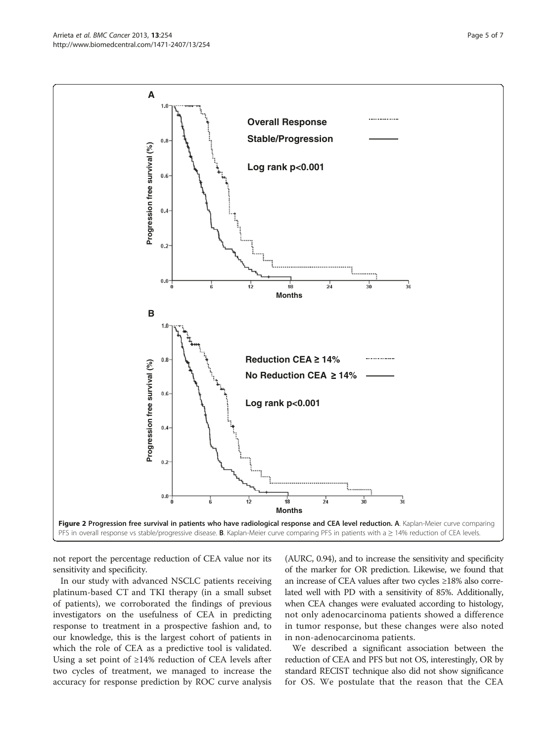not report the percentage reduction of CEA value nor its sensitivity and specificity.

In our study with advanced NSCLC patients receiving platinum-based CT and TKI therapy (in a small subset of patients), we corroborated the findings of previous investigators on the usefulness of CEA in predicting response to treatment in a prospective fashion and, to our knowledge, this is the largest cohort of patients in which the role of CEA as a predictive tool is validated. Using a set point of  $\geq$ 14% reduction of CEA levels after two cycles of treatment, we managed to increase the accuracy for response prediction by ROC curve analysis

(AURC, 0.94), and to increase the sensitivity and specificity of the marker for OR prediction. Likewise, we found that an increase of CEA values after two cycles ≥18% also correlated well with PD with a sensitivity of 85%. Additionally, when CEA changes were evaluated according to histology, not only adenocarcinoma patients showed a difference in tumor response, but these changes were also noted in non-adenocarcinoma patients.

We described a significant association between the reduction of CEA and PFS but not OS, interestingly, OR by standard RECIST technique also did not show significance for OS. We postulate that the reason that the CEA

<span id="page-4-0"></span>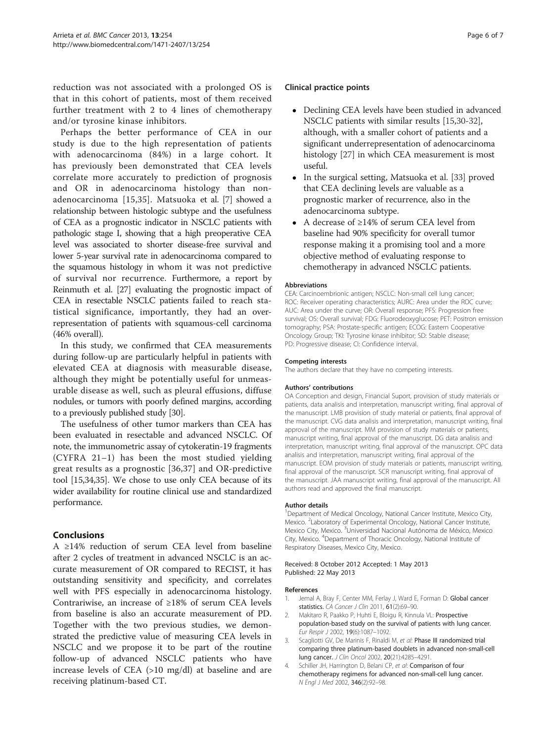<span id="page-5-0"></span>reduction was not associated with a prolonged OS is that in this cohort of patients, most of them received further treatment with 2 to 4 lines of chemotherapy and/or tyrosine kinase inhibitors.

Perhaps the better performance of CEA in our study is due to the high representation of patients with adenocarcinoma (84%) in a large cohort. It has previously been demonstrated that CEA levels correlate more accurately to prediction of prognosis and OR in adenocarcinoma histology than nonadenocarcinoma [[15,35](#page-6-0)]. Matsuoka et al. [\[7\]](#page-6-0) showed a relationship between histologic subtype and the usefulness of CEA as a prognostic indicator in NSCLC patients with pathologic stage I, showing that a high preoperative CEA level was associated to shorter disease-free survival and lower 5-year survival rate in adenocarcinoma compared to the squamous histology in whom it was not predictive of survival nor recurrence. Furthermore, a report by Reinmuth et al. [\[27](#page-6-0)] evaluating the prognostic impact of CEA in resectable NSCLC patients failed to reach statistical significance, importantly, they had an overrepresentation of patients with squamous-cell carcinoma (46% overall).

In this study, we confirmed that CEA measurements during follow-up are particularly helpful in patients with elevated CEA at diagnosis with measurable disease, although they might be potentially useful for unmeasurable disease as well, such as pleural effusions, diffuse nodules, or tumors with poorly defined margins, according to a previously published study [\[30\]](#page-6-0).

The usefulness of other tumor markers than CEA has been evaluated in resectable and advanced NSCLC. Of note, the immunometric assay of cytokeratin-19 fragments (CYFRA 21–1) has been the most studied yielding great results as a prognostic [\[36](#page-6-0),[37\]](#page-6-0) and OR-predictive tool [[15,34,35\]](#page-6-0). We chose to use only CEA because of its wider availability for routine clinical use and standardized performance.

# Conclusions

A ≥14% reduction of serum CEA level from baseline after 2 cycles of treatment in advanced NSCLC is an accurate measurement of OR compared to RECIST, it has outstanding sensitivity and specificity, and correlates well with PFS especially in adenocarcinoma histology. Contrariwise, an increase of ≥18% of serum CEA levels from baseline is also an accurate measurement of PD. Together with the two previous studies, we demonstrated the predictive value of measuring CEA levels in NSCLC and we propose it to be part of the routine follow-up of advanced NSCLC patients who have increase levels of CEA (>10 mg/dl) at baseline and are receiving platinum-based CT.

#### Clinical practice points

- Declining CEA levels have been studied in advanced NSCLC patients with similar results [[15,30-32](#page-6-0)], although, with a smaller cohort of patients and a significant underrepresentation of adenocarcinoma histology [[27\]](#page-6-0) in which CEA measurement is most useful.
- In the surgical setting, Matsuoka et al. [[33](#page-6-0)] proved that CEA declining levels are valuable as a prognostic marker of recurrence, also in the adenocarcinoma subtype.
- A decrease of ≥14% of serum CEA level from baseline had 90% specificity for overall tumor response making it a promising tool and a more objective method of evaluating response to chemotherapy in advanced NSCLC patients.

#### Abbreviations

CEA: Carcinoembrionic antigen; NSCLC: Non-small cell lung cancer; ROC: Receiver operating characteristics; AURC: Area under the ROC curve; AUC: Area under the curve; OR: Overall response; PFS: Progression free survival; OS: Overall survival; FDG: Fluorodeoxyglucose; PET: Positron emission tomography; PSA: Prostate-specific antigen; ECOG: Eastern Cooperative Oncology Group; TKI: Tyrosine kinase inhibitor; SD: Stable disease; PD: Progressive disease; CI: Confidence interval.

#### Competing interests

The authors declare that they have no competing interests.

#### Authors' contributions

OA Conception and design, Financial Suport, provision of study materials or patients, data analisis and interpretation, manuscript writing, final approval of the manuscript. LMB provision of study material or patients, final approval of the manuscript. CVG data analisis and interpretation, manuscript writing, final approval of the manuscript. MM provision of study materials or patients, manuscript writing, final approval of the manuscript. DG data analisis and interpretation, manuscript writing, final approval of the manuscript. OPC data analisis and interpretation, manuscript writing, final approval of the manuscript. EOM provision of study materials or patients, manuscript writing, final approval of the manuscript. SCR manuscript writing, final approval of the manuscript. JAA manuscript writing, final approval of the manuscript. All authors read and approved the final manuscript.

#### Author details

<sup>1</sup>Department of Medical Oncology, National Cancer Institute, Mexico City, Mexico. <sup>2</sup> Laboratory of Experimental Oncology, National Cancer Institute Mexico City, Mexico. <sup>3</sup>Universidad Nacional Autónoma de México, Mexico City, Mexico. <sup>4</sup>Department of Thoracic Oncology, National Institute of Respiratory Diseases, Mexico City, Mexico.

#### Received: 8 October 2012 Accepted: 1 May 2013 Published: 22 May 2013

#### References

- 1. Jemal A, Bray F, Center MM, Ferlay J, Ward E, Forman D: Global cancer statistics. CA Cancer J Clin 2011, 61(2):69–90.
- 2. Makitaro R, Paakko P, Huhti E, Bloigu R, Kinnula VL: Prospective population-based study on the survival of patients with lung cancer. Eur Respir J 2002, 19(6):1087–1092.
- 3. Scagliotti GV, De Marinis F, Rinaldi M, et al: Phase III randomized trial comparing three platinum-based doublets in advanced non-small-cell lung cancer. J Clin Oncol 2002, 20(21):4285–4291.
- 4. Schiller JH, Harrington D, Belani CP, et al: Comparison of four chemotherapy regimens for advanced non-small-cell lung cancer. N Engl J Med 2002, 346(2):92–98.